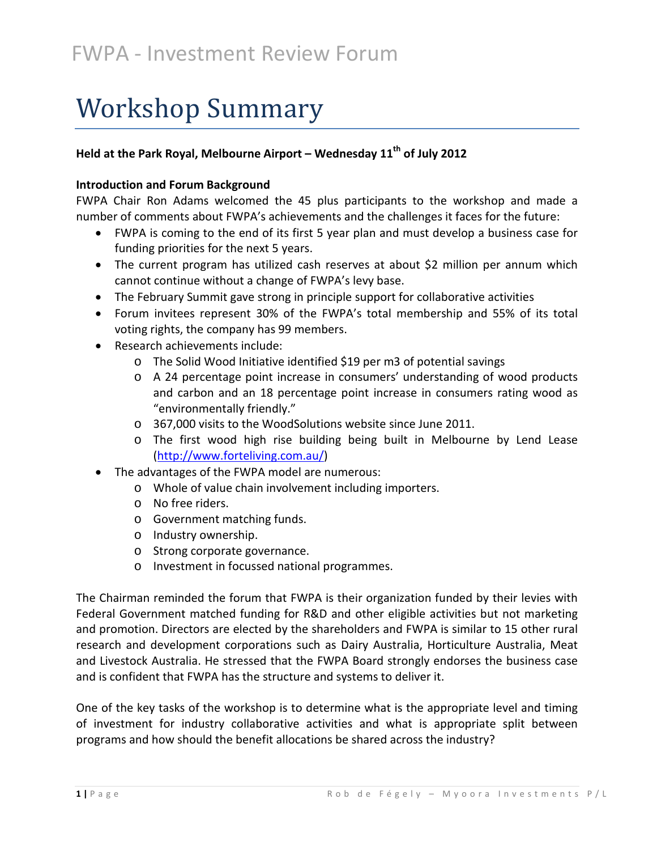# Workshop Summary

### **Held at the Park Royal, Melbourne Airport – Wednesday 11th of July 2012**

#### **Introduction and Forum Background**

FWPA Chair Ron Adams welcomed the 45 plus participants to the workshop and made a number of comments about FWPA's achievements and the challenges it faces for the future:

- FWPA is coming to the end of its first 5 year plan and must develop a business case for funding priorities for the next 5 years.
- The current program has utilized cash reserves at about \$2 million per annum which cannot continue without a change of FWPA's levy base.
- The February Summit gave strong in principle support for collaborative activities
- Forum invitees represent 30% of the FWPA's total membership and 55% of its total voting rights, the company has 99 members.
- Research achievements include:
	- o The Solid Wood Initiative identified \$19 per m3 of potential savings
	- o A 24 percentage point increase in consumers' understanding of wood products and carbon and an 18 percentage point increase in consumers rating wood as "environmentally friendly."
	- o 367,000 visits to the WoodSolutions website since June 2011.
	- o The first wood high rise building being built in Melbourne by Lend Lease [\(http://www.forteliving.com.au/\)](http://www.forteliving.com.au/)
- The advantages of the FWPA model are numerous:
	- o Whole of value chain involvement including importers.
	- o No free riders.
	- o Government matching funds.
	- o Industry ownership.
	- o Strong corporate governance.
	- o Investment in focussed national programmes.

The Chairman reminded the forum that FWPA is their organization funded by their levies with Federal Government matched funding for R&D and other eligible activities but not marketing and promotion. Directors are elected by the shareholders and FWPA is similar to 15 other rural research and development corporations such as Dairy Australia, Horticulture Australia, Meat and Livestock Australia. He stressed that the FWPA Board strongly endorses the business case and is confident that FWPA has the structure and systems to deliver it.

One of the key tasks of the workshop is to determine what is the appropriate level and timing of investment for industry collaborative activities and what is appropriate split between programs and how should the benefit allocations be shared across the industry?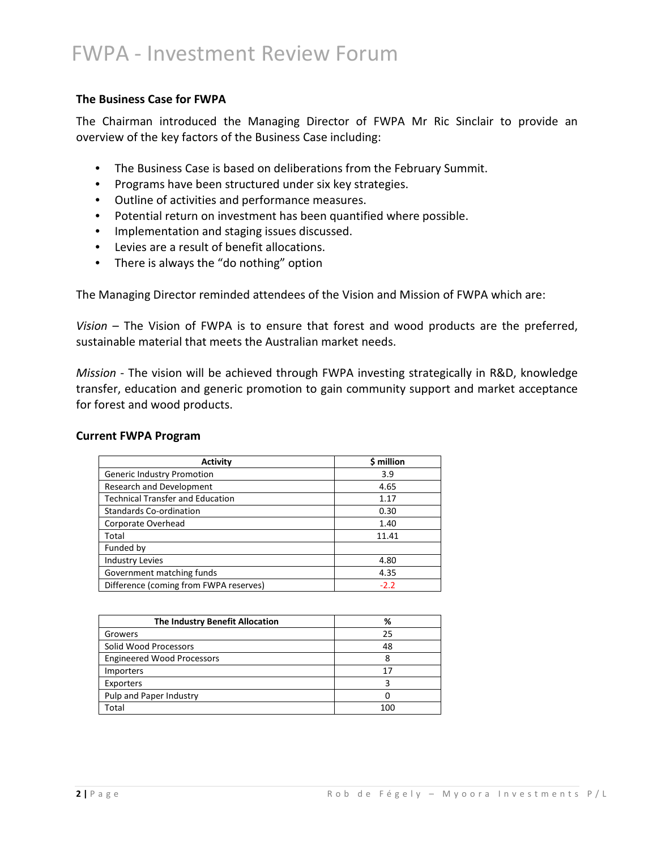#### **The Business Case for FWPA**

The Chairman introduced the Managing Director of FWPA Mr Ric Sinclair to provide an overview of the key factors of the Business Case including:

- The Business Case is based on deliberations from the February Summit.
- Programs have been structured under six key strategies.
- Outline of activities and performance measures.
- Potential return on investment has been quantified where possible.
- Implementation and staging issues discussed.
- Levies are a result of benefit allocations.
- There is always the "do nothing" option

The Managing Director reminded attendees of the Vision and Mission of FWPA which are:

*Vision* – The Vision of FWPA is to ensure that forest and wood products are the preferred, sustainable material that meets the Australian market needs.

*Mission* - The vision will be achieved through FWPA investing strategically in R&D, knowledge transfer, education and generic promotion to gain community support and market acceptance for forest and wood products.

#### **Current FWPA Program**

| <b>Activity</b>                         | \$ million |
|-----------------------------------------|------------|
| Generic Industry Promotion              | 3.9        |
| Research and Development                | 4.65       |
| <b>Technical Transfer and Education</b> | 1.17       |
| <b>Standards Co-ordination</b>          | 0.30       |
| Corporate Overhead                      | 1.40       |
| Total                                   | 11.41      |
| Funded by                               |            |
| <b>Industry Levies</b>                  | 4.80       |
| Government matching funds               | 4.35       |
| Difference (coming from FWPA reserves)  | $-2.2$     |

| The Industry Benefit Allocation   | %   |
|-----------------------------------|-----|
| Growers                           | 25  |
| Solid Wood Processors             | 48  |
| <b>Engineered Wood Processors</b> |     |
| Importers                         | 17  |
| Exporters                         |     |
| Pulp and Paper Industry           |     |
| Total                             | 100 |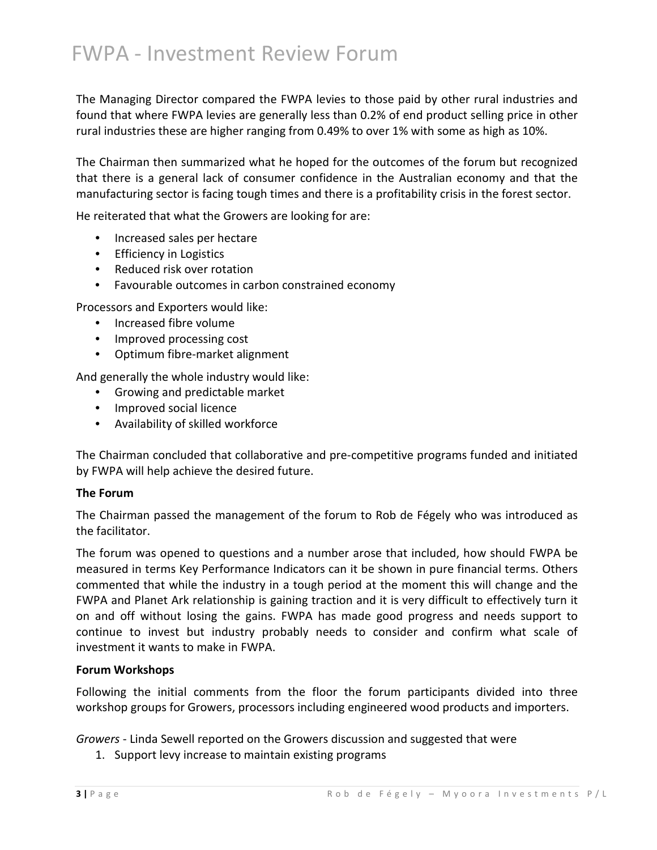The Managing Director compared the FWPA levies to those paid by other rural industries and found that where FWPA levies are generally less than 0.2% of end product selling price in other rural industries these are higher ranging from 0.49% to over 1% with some as high as 10%.

The Chairman then summarized what he hoped for the outcomes of the forum but recognized that there is a general lack of consumer confidence in the Australian economy and that the manufacturing sector is facing tough times and there is a profitability crisis in the forest sector.

He reiterated that what the Growers are looking for are:

- Increased sales per hectare
- Efficiency in Logistics
- Reduced risk over rotation
- Favourable outcomes in carbon constrained economy

Processors and Exporters would like:

- Increased fibre volume
- Improved processing cost
- Optimum fibre-market alignment

And generally the whole industry would like:

- Growing and predictable market
- Improved social licence
- Availability of skilled workforce

The Chairman concluded that collaborative and pre-competitive programs funded and initiated by FWPA will help achieve the desired future.

#### **The Forum**

The Chairman passed the management of the forum to Rob de Fégely who was introduced as the facilitator.

The forum was opened to questions and a number arose that included, how should FWPA be measured in terms Key Performance Indicators can it be shown in pure financial terms. Others commented that while the industry in a tough period at the moment this will change and the FWPA and Planet Ark relationship is gaining traction and it is very difficult to effectively turn it on and off without losing the gains. FWPA has made good progress and needs support to continue to invest but industry probably needs to consider and confirm what scale of investment it wants to make in FWPA.

#### **Forum Workshops**

Following the initial comments from the floor the forum participants divided into three workshop groups for Growers, processors including engineered wood products and importers.

*Growers* - Linda Sewell reported on the Growers discussion and suggested that were

1. Support levy increase to maintain existing programs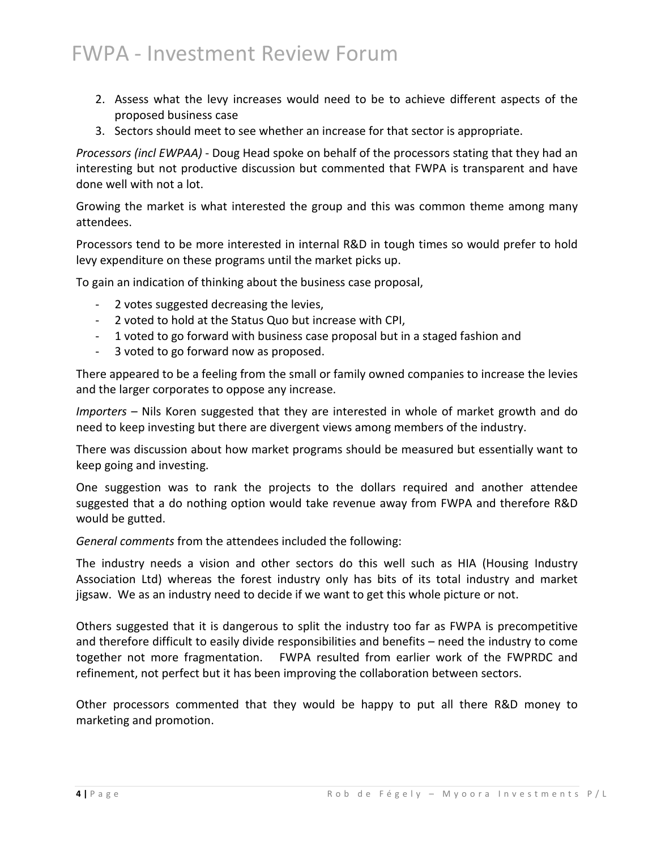- 2. Assess what the levy increases would need to be to achieve different aspects of the proposed business case
- 3. Sectors should meet to see whether an increase for that sector is appropriate.

*Processors (incl EWPAA)* - Doug Head spoke on behalf of the processors stating that they had an interesting but not productive discussion but commented that FWPA is transparent and have done well with not a lot.

Growing the market is what interested the group and this was common theme among many attendees.

Processors tend to be more interested in internal R&D in tough times so would prefer to hold levy expenditure on these programs until the market picks up.

To gain an indication of thinking about the business case proposal,

- 2 votes suggested decreasing the levies,
- 2 voted to hold at the Status Quo but increase with CPI,
- 1 voted to go forward with business case proposal but in a staged fashion and
- 3 voted to go forward now as proposed.

There appeared to be a feeling from the small or family owned companies to increase the levies and the larger corporates to oppose any increase.

*Importers* – Nils Koren suggested that they are interested in whole of market growth and do need to keep investing but there are divergent views among members of the industry.

There was discussion about how market programs should be measured but essentially want to keep going and investing.

One suggestion was to rank the projects to the dollars required and another attendee suggested that a do nothing option would take revenue away from FWPA and therefore R&D would be gutted.

*General comments* from the attendees included the following:

The industry needs a vision and other sectors do this well such as HIA (Housing Industry Association Ltd) whereas the forest industry only has bits of its total industry and market jigsaw. We as an industry need to decide if we want to get this whole picture or not.

Others suggested that it is dangerous to split the industry too far as FWPA is precompetitive and therefore difficult to easily divide responsibilities and benefits – need the industry to come together not more fragmentation. FWPA resulted from earlier work of the FWPRDC and refinement, not perfect but it has been improving the collaboration between sectors.

Other processors commented that they would be happy to put all there R&D money to marketing and promotion.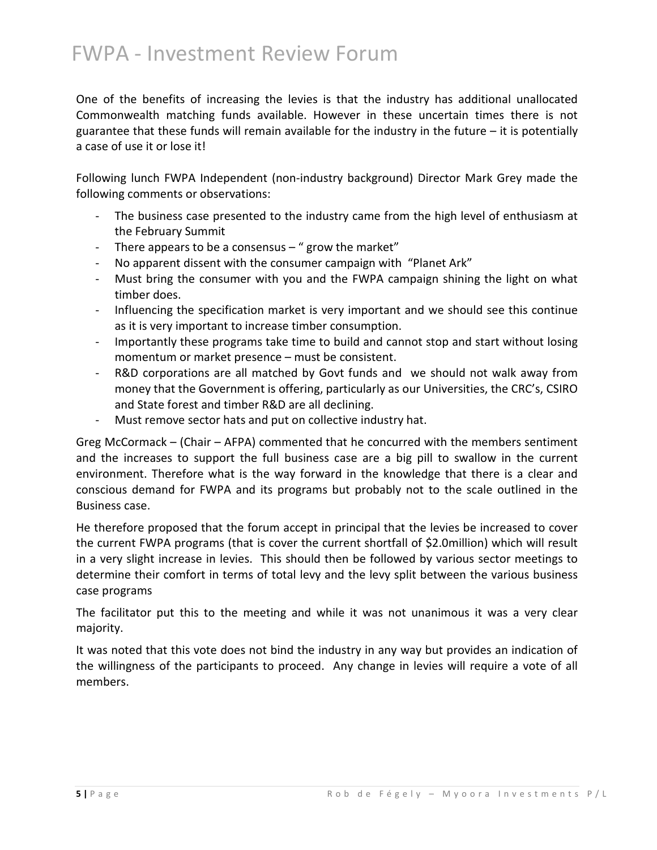One of the benefits of increasing the levies is that the industry has additional unallocated Commonwealth matching funds available. However in these uncertain times there is not guarantee that these funds will remain available for the industry in the future  $-$  it is potentially a case of use it or lose it!

Following lunch FWPA Independent (non-industry background) Director Mark Grey made the following comments or observations:

- The business case presented to the industry came from the high level of enthusiasm at the February Summit
- There appears to be a consensus " grow the market"
- No apparent dissent with the consumer campaign with "Planet Ark"
- Must bring the consumer with you and the FWPA campaign shining the light on what timber does.
- Influencing the specification market is very important and we should see this continue as it is very important to increase timber consumption.
- Importantly these programs take time to build and cannot stop and start without losing momentum or market presence – must be consistent.
- R&D corporations are all matched by Govt funds and we should not walk away from money that the Government is offering, particularly as our Universities, the CRC's, CSIRO and State forest and timber R&D are all declining.
- Must remove sector hats and put on collective industry hat.

Greg McCormack – (Chair – AFPA) commented that he concurred with the members sentiment and the increases to support the full business case are a big pill to swallow in the current environment. Therefore what is the way forward in the knowledge that there is a clear and conscious demand for FWPA and its programs but probably not to the scale outlined in the Business case.

He therefore proposed that the forum accept in principal that the levies be increased to cover the current FWPA programs (that is cover the current shortfall of \$2.0million) which will result in a very slight increase in levies. This should then be followed by various sector meetings to determine their comfort in terms of total levy and the levy split between the various business case programs

The facilitator put this to the meeting and while it was not unanimous it was a very clear majority.

It was noted that this vote does not bind the industry in any way but provides an indication of the willingness of the participants to proceed. Any change in levies will require a vote of all members.